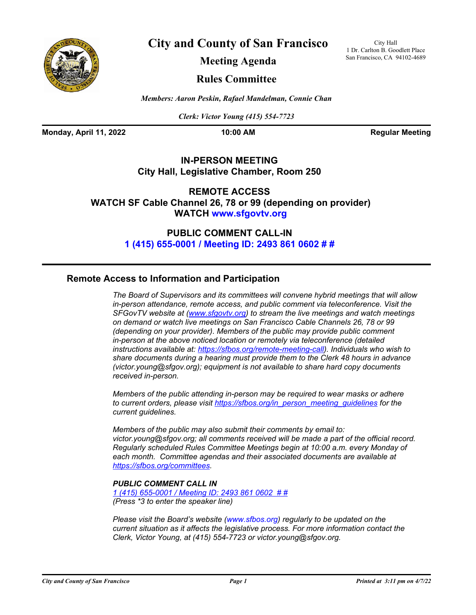

**City and County of San Francisco**

City Hall 1 Dr. Carlton B. Goodlett Place San Francisco, CA 94102-4689

**Meeting Agenda**

## **Rules Committee**

*Members: Aaron Peskin, Rafael Mandelman, Connie Chan*

*Clerk: Victor Young (415) 554-7723*

**Monday, April 11, 2022 10:00 AM Regular Meeting** 

## **IN-PERSON MEETING City Hall, Legislative Chamber, Room 250**

**REMOTE ACCESS WATCH SF Cable Channel 26, 78 or 99 (depending on provider) WATCH www.sfgovtv.org**

> **PUBLIC COMMENT CALL-IN [1 \(415\) 655-0001 / Meeting ID: 2493 861 0602 # #](tel:+14156550001,,24938610602#,,#)**

## **Remote Access to Information and Participation**

*The Board of Supervisors and its committees will convene hybrid meetings that will allow in-person attendance, remote access, and public comment via teleconference. Visit the SFGovTV website at [\(www.sfgovtv.org\)](www.sfgovtv.org) to stream the live meetings and watch meetings on demand or watch live meetings on San Francisco Cable Channels 26, 78 or 99 (depending on your provider). Members of the public may provide public comment in-person at the above noticed location or remotely via teleconference (detailed instructions available at: [https://sfbos.org/remote-meeting-call\)](https://sfbos.org/remote-meeting-call). Individuals who wish to share documents during a hearing must provide them to the Clerk 48 hours in advance (victor.young@sfgov.org); equipment is not available to share hard copy documents received in-person.*

*Members of the public attending in-person may be required to wear masks or adhere to current orders, please visit [https://sfbos.org/in\\_person\\_meeting\\_guidelines](https://sfbos.org/in_person_meeting_guidelines) for the current guidelines.*

*Members of the public may also submit their comments by email to: victor.young@sfgov.org; all comments received will be made a part of the official record. Regularly scheduled Rules Committee Meetings begin at 10:00 a.m. every Monday of each month. Committee agendas and their associated documents are available at [https://sfbos.org/committees.](https://sfbos.org/committees)*

## *PUBLIC COMMENT CALL IN*

*[1 \(415\) 655-0001 / Meeting ID: 2493 861 0602 # #](tel:+14156550001,,24938610602#,,#) (Press \*3 to enter the speaker line)*

*Please visit the Board's website ([www.sfbos.org\)](www.sfbos.org) regularly to be updated on the current situation as it affects the legislative process. For more information contact the Clerk, Victor Young, at (415) 554-7723 or victor.young@sfgov.org.*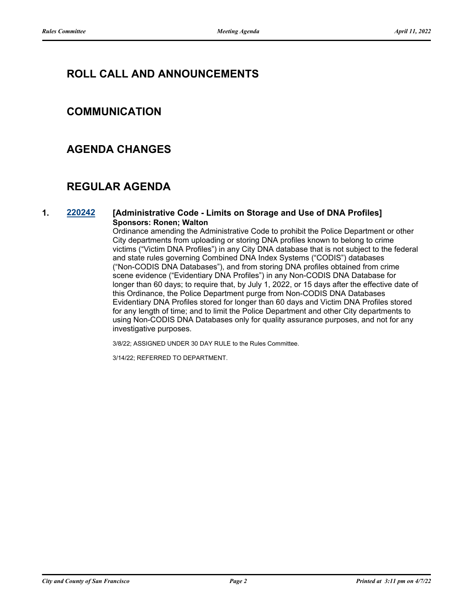# **ROLL CALL AND ANNOUNCEMENTS**

# **COMMUNICATION**

## **AGENDA CHANGES**

# **REGULAR AGENDA**

### **1. [220242](http://sfgov.legistar.com/gateway.aspx?m=l&id=38434) [Administrative Code - Limits on Storage and Use of DNA Profiles] Sponsors: Ronen; Walton**

Ordinance amending the Administrative Code to prohibit the Police Department or other City departments from uploading or storing DNA profiles known to belong to crime victims ("Victim DNA Profiles") in any City DNA database that is not subject to the federal and state rules governing Combined DNA Index Systems ("CODIS") databases ("Non-CODIS DNA Databases"), and from storing DNA profiles obtained from crime scene evidence ("Evidentiary DNA Profiles") in any Non-CODIS DNA Database for longer than 60 days; to require that, by July 1, 2022, or 15 days after the effective date of this Ordinance, the Police Department purge from Non-CODIS DNA Databases Evidentiary DNA Profiles stored for longer than 60 days and Victim DNA Profiles stored for any length of time; and to limit the Police Department and other City departments to using Non-CODIS DNA Databases only for quality assurance purposes, and not for any investigative purposes.

3/8/22; ASSIGNED UNDER 30 DAY RULE to the Rules Committee.

3/14/22; REFERRED TO DEPARTMENT.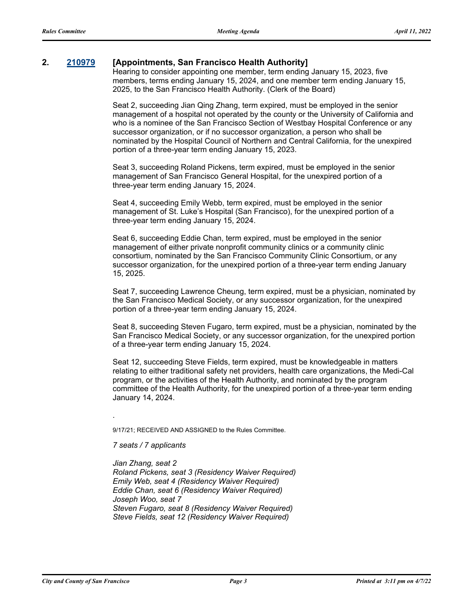## **2. [210979](http://sfgov.legistar.com/gateway.aspx?m=l&id=37849) [Appointments, San Francisco Health Authority]**

Hearing to consider appointing one member, term ending January 15, 2023, five members, terms ending January 15, 2024, and one member term ending January 15, 2025, to the San Francisco Health Authority. (Clerk of the Board)

Seat 2, succeeding Jian Qing Zhang, term expired, must be employed in the senior management of a hospital not operated by the county or the University of California and who is a nominee of the San Francisco Section of Westbay Hospital Conference or any successor organization, or if no successor organization, a person who shall be nominated by the Hospital Council of Northern and Central California, for the unexpired portion of a three-year term ending January 15, 2023.

Seat 3, succeeding Roland Pickens, term expired, must be employed in the senior management of San Francisco General Hospital, for the unexpired portion of a three-year term ending January 15, 2024.

Seat 4, succeeding Emily Webb, term expired, must be employed in the senior management of St. Luke's Hospital (San Francisco), for the unexpired portion of a three-year term ending January 15, 2024.

Seat 6, succeeding Eddie Chan, term expired, must be employed in the senior management of either private nonprofit community clinics or a community clinic consortium, nominated by the San Francisco Community Clinic Consortium, or any successor organization, for the unexpired portion of a three-year term ending January 15, 2025.

Seat 7, succeeding Lawrence Cheung, term expired, must be a physician, nominated by the San Francisco Medical Society, or any successor organization, for the unexpired portion of a three-year term ending January 15, 2024.

Seat 8, succeeding Steven Fugaro, term expired, must be a physician, nominated by the San Francisco Medical Society, or any successor organization, for the unexpired portion of a three-year term ending January 15, 2024.

Seat 12, succeeding Steve Fields, term expired, must be knowledgeable in matters relating to either traditional safety net providers, health care organizations, the Medi-Cal program, or the activities of the Health Authority, and nominated by the program committee of the Health Authority, for the unexpired portion of a three-year term ending January 14, 2024.

9/17/21; RECEIVED AND ASSIGNED to the Rules Committee.

*7 seats / 7 applicants*

.

*Jian Zhang, seat 2 Roland Pickens, seat 3 (Residency Waiver Required) Emily Web, seat 4 (Residency Waiver Required) Eddie Chan, seat 6 (Residency Waiver Required) Joseph Woo, seat 7 Steven Fugaro, seat 8 (Residency Waiver Required) Steve Fields, seat 12 (Residency Waiver Required)*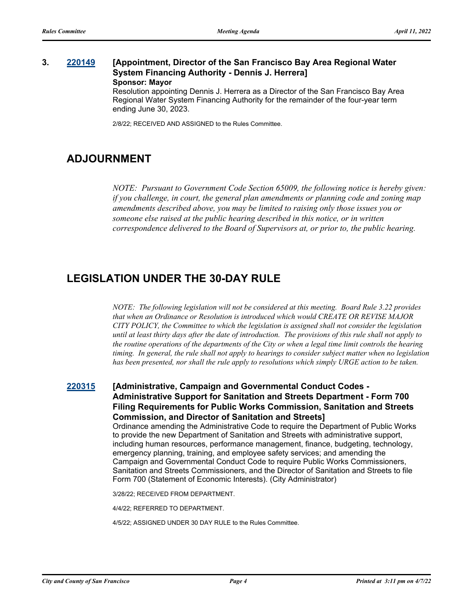## **3. [220149](http://sfgov.legistar.com/gateway.aspx?m=l&id=38344) [Appointment, Director of the San Francisco Bay Area Regional Water System Financing Authority - Dennis J. Herrera] Sponsor: Mayor**

Resolution appointing Dennis J. Herrera as a Director of the San Francisco Bay Area Regional Water System Financing Authority for the remainder of the four-year term ending June 30, 2023.

2/8/22; RECEIVED AND ASSIGNED to the Rules Committee.

# **ADJOURNMENT**

*NOTE: Pursuant to Government Code Section 65009, the following notice is hereby given: if you challenge, in court, the general plan amendments or planning code and zoning map amendments described above, you may be limited to raising only those issues you or someone else raised at the public hearing described in this notice, or in written correspondence delivered to the Board of Supervisors at, or prior to, the public hearing.*

# **LEGISLATION UNDER THE 30-DAY RULE**

*NOTE: The following legislation will not be considered at this meeting. Board Rule 3.22 provides that when an Ordinance or Resolution is introduced which would CREATE OR REVISE MAJOR CITY POLICY, the Committee to which the legislation is assigned shall not consider the legislation until at least thirty days after the date of introduction. The provisions of this rule shall not apply to the routine operations of the departments of the City or when a legal time limit controls the hearing timing. In general, the rule shall not apply to hearings to consider subject matter when no legislation has been presented, nor shall the rule apply to resolutions which simply URGE action to be taken.*

**[220315](http://sfgov.legistar.com/gateway.aspx?m=l&id=38507) [Administrative, Campaign and Governmental Conduct Codes - Administrative Support for Sanitation and Streets Department - Form 700 Filing Requirements for Public Works Commission, Sanitation and Streets Commission, and Director of Sanitation and Streets]**

> Ordinance amending the Administrative Code to require the Department of Public Works to provide the new Department of Sanitation and Streets with administrative support, including human resources, performance management, finance, budgeting, technology, emergency planning, training, and employee safety services; and amending the Campaign and Governmental Conduct Code to require Public Works Commissioners, Sanitation and Streets Commissioners, and the Director of Sanitation and Streets to file Form 700 (Statement of Economic Interests). (City Administrator)

3/28/22; RECEIVED FROM DEPARTMENT.

4/4/22; REFERRED TO DEPARTMENT.

4/5/22; ASSIGNED UNDER 30 DAY RULE to the Rules Committee.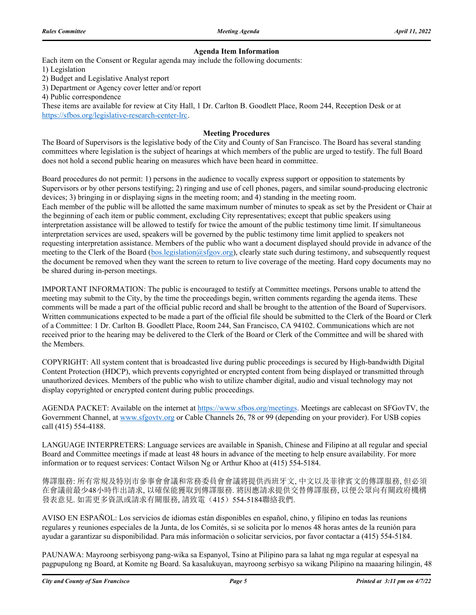#### **Agenda Item Information**

Each item on the Consent or Regular agenda may include the following documents:

1) Legislation

2) Budget and Legislative Analyst report

3) Department or Agency cover letter and/or report

4) Public correspondence

These items are available for review at City Hall, 1 Dr. Carlton B. Goodlett Place, Room 244, Reception Desk or at https://sfbos.org/legislative-research-center-lrc.

#### **Meeting Procedures**

The Board of Supervisors is the legislative body of the City and County of San Francisco. The Board has several standing committees where legislation is the subject of hearings at which members of the public are urged to testify. The full Board does not hold a second public hearing on measures which have been heard in committee.

Board procedures do not permit: 1) persons in the audience to vocally express support or opposition to statements by Supervisors or by other persons testifying; 2) ringing and use of cell phones, pagers, and similar sound-producing electronic devices; 3) bringing in or displaying signs in the meeting room; and 4) standing in the meeting room. Each member of the public will be allotted the same maximum number of minutes to speak as set by the President or Chair at the beginning of each item or public comment, excluding City representatives; except that public speakers using interpretation assistance will be allowed to testify for twice the amount of the public testimony time limit. If simultaneous interpretation services are used, speakers will be governed by the public testimony time limit applied to speakers not requesting interpretation assistance. Members of the public who want a document displayed should provide in advance of the meeting to the Clerk of the Board (bos.legislation@sfgov.org), clearly state such during testimony, and subsequently request the document be removed when they want the screen to return to live coverage of the meeting. Hard copy documents may no be shared during in-person meetings.

IMPORTANT INFORMATION: The public is encouraged to testify at Committee meetings. Persons unable to attend the meeting may submit to the City, by the time the proceedings begin, written comments regarding the agenda items. These comments will be made a part of the official public record and shall be brought to the attention of the Board of Supervisors. Written communications expected to be made a part of the official file should be submitted to the Clerk of the Board or Clerk of a Committee: 1 Dr. Carlton B. Goodlett Place, Room 244, San Francisco, CA 94102. Communications which are not received prior to the hearing may be delivered to the Clerk of the Board or Clerk of the Committee and will be shared with the Members.

COPYRIGHT: All system content that is broadcasted live during public proceedings is secured by High-bandwidth Digital Content Protection (HDCP), which prevents copyrighted or encrypted content from being displayed or transmitted through unauthorized devices. Members of the public who wish to utilize chamber digital, audio and visual technology may not display copyrighted or encrypted content during public proceedings.

AGENDA PACKET: Available on the internet at https://www.sfbos.org/meetings. Meetings are cablecast on SFGovTV, the Government Channel, at www.sfgovtv.org or Cable Channels 26, 78 or 99 (depending on your provider). For USB copies call (415) 554-4188.

LANGUAGE INTERPRETERS: Language services are available in Spanish, Chinese and Filipino at all regular and special Board and Committee meetings if made at least 48 hours in advance of the meeting to help ensure availability. For more information or to request services: Contact Wilson Ng or Arthur Khoo at (415) 554-5184.

傳譯服務: 所有常規及特別市參事會會議和常務委員會會議將提供西班牙文, 中文以及菲律賓文的傳譯服務, 但必須 在會議前最少48小時作出請求, 以確保能獲取到傳譯服務. 將因應請求提供交替傳譯服務, 以便公眾向有關政府機構 發表意見. 如需更多資訊或請求有關服務, 請致電(415) 554-5184聯絡我們.

AVISO EN ESPAÑOL: Los servicios de idiomas están disponibles en español, chino, y filipino en todas las reunions regulares y reuniones especiales de la Junta, de los Comités, si se solicita por lo menos 48 horas antes de la reunión para ayudar a garantizar su disponibilidad. Para más información o solicitar servicios, por favor contactar a (415) 554-5184.

PAUNAWA: Mayroong serbisyong pang-wika sa Espanyol, Tsino at Pilipino para sa lahat ng mga regular at espesyal na pagpupulong ng Board, at Komite ng Board. Sa kasalukuyan, mayroong serbisyo sa wikang Pilipino na maaaring hilingin, 48